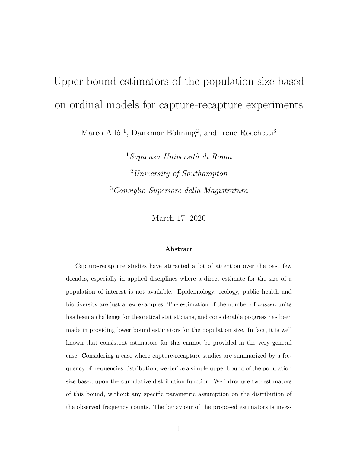# Upper bound estimators of the population size based on ordinal models for capture-recapture experiments

Marco Alfò<sup>1</sup>, Dankmar Böhning<sup>2</sup>, and Irene Rocchetti<sup>3</sup>

 $1$ Sapienza Università di Roma <sup>2</sup>University of Southampton <sup>3</sup>Consiglio Superiore della Magistratura

March 17, 2020

#### Abstract

Capture-recapture studies have attracted a lot of attention over the past few decades, especially in applied disciplines where a direct estimate for the size of a population of interest is not available. Epidemiology, ecology, public health and biodiversity are just a few examples. The estimation of the number of unseen units has been a challenge for theoretical statisticians, and considerable progress has been made in providing lower bound estimators for the population size. In fact, it is well known that consistent estimators for this cannot be provided in the very general case. Considering a case where capture-recapture studies are summarized by a frequency of frequencies distribution, we derive a simple upper bound of the population size based upon the cumulative distribution function. We introduce two estimators of this bound, without any specific parametric assumption on the distribution of the observed frequency counts. The behaviour of the proposed estimators is inves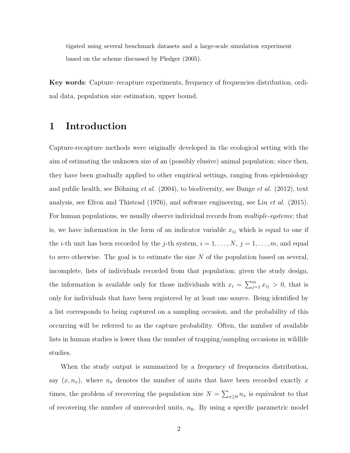tigated using several benchmark datasets and a large-scale simulation experiment based on the scheme discussed by Pledger (2005).

Key words: Capture–recapture experiments, frequency of frequencies distribution, ordinal data, population size estimation, upper bound.

### 1 Introduction

Capture-recapture methods were originally developed in the ecological setting with the aim of estimating the unknown size of an (possibly elusive) animal population; since then, they have been gradually applied to other empirical settings, ranging from epidemiology and public health, see Böhning *et al.* (2004), to biodiversity, see Bunge *et al.* (2012), text analysis, see Efron and Thistead (1976), and software engineering, see Liu et al. (2015). For human populations, we usually observe individual records from *multiple-systems*; that is, we have information in the form of an indicator variable  $x_{ij}$  which is equal to one if the *i*-th unit has been recorded by the *j*-th system,  $i = 1, ..., N$ ,  $j = 1, ..., m$ , and equal to zero otherwise. The goal is to estimate the size  $N$  of the population based on several, incomplete, lists of individuals recorded from that population; given the study design, the information is available only for those individuals with  $x_i = \sum_{j=1}^m x_{ij} > 0$ , that is only for individuals that have been registered by at least one source. Being identified by a list corresponds to being captured on a sampling occasion, and the probability of this occurring will be referred to as the capture probability. Often, the number of available lists in human studies is lower than the number of trapping/sampling occasions in wildlife studies.

When the study output is summarized by a frequency of frequencies distribution, say  $(x, n_x)$ , where  $n_x$  denotes the number of units that have been recorded exactly x times, the problem of recovering the population size  $N = \sum_{x\geq 0} n_x$  is equivalent to that of recovering the number of unrecorded units,  $n_0$ . By using a specific parametric model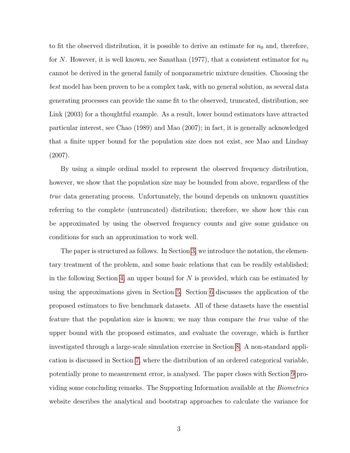to fit the observed distribution, it is possible to derive an estimate for  $n_0$  and, therefore, for N. However, it is well known, see Sanathan (1977), that a consistent estimator for  $n_0$ cannot be derived in the general family of nonparametric mixture densities. Choosing the best model has been proven to be a complex task, with no general solution, as several data generating processes can provide the same fit to the observed, truncated, distribution, see Link (2003) for a thoughtful example. As a result, lower bound estimators have attracted particular interest, see Chao (1989) and Mao (2007); in fact, it is generally acknowledged that a finite upper bound for the population size does not exist, see Mao and Lindsay (2007).

By using a simple ordinal model to represent the observed frequency distribution, however, we show that the population size may be bounded from above, regardless of the true data generating process. Unfortunately, the bound depends on unknown quantities referring to the complete (untruncated) distribution; therefore, we show how this can be approximated by using the observed frequency counts and give some guidance on conditions for such an approximation to work well.

The paper is structured as follows. In Section [3,](#page-4-0) we introduce the notation, the elementary treatment of the problem, and some basic relations that can be readily established; in the following Section [4,](#page-7-0) an upper bound for  $N$  is provided, which can be estimated by using the approximations given in Section [5.](#page-9-0) Section [6](#page-13-0) discusses the application of the proposed estimators to five benchmark datasets. All of these datasets have the essential feature that the population size is known; we may thus compare the true value of the upper bound with the proposed estimates, and evaluate the coverage, which is further investigated through a large-scale simulation exercise in Section [8.](#page-18-0) A non-standard application is discussed in Section [7,](#page-17-0) where the distribution of an ordered categorical variable, potentially prone to measurement error, is analysed. The paper closes with Section [9](#page-19-0) providing some concluding remarks. The Supporting Information available at the Biometrics website describes the analytical and bootstrap approaches to calculate the variance for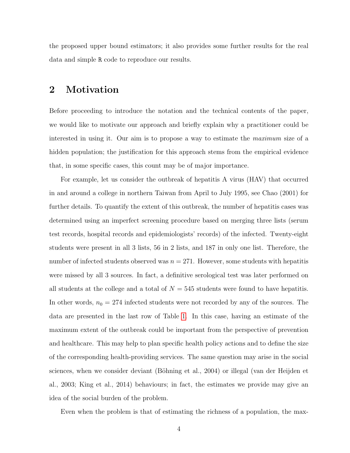the proposed upper bound estimators; it also provides some further results for the real data and simple R code to reproduce our results.

### <span id="page-3-0"></span>2 Motivation

Before proceeding to introduce the notation and the technical contents of the paper, we would like to motivate our approach and briefly explain why a practitioner could be interested in using it. Our aim is to propose a way to estimate the maximum size of a hidden population; the justification for this approach stems from the empirical evidence that, in some specific cases, this count may be of major importance.

For example, let us consider the outbreak of hepatitis A virus (HAV) that occurred in and around a college in northern Taiwan from April to July 1995, see Chao (2001) for further details. To quantify the extent of this outbreak, the number of hepatitis cases was determined using an imperfect screening procedure based on merging three lists (serum test records, hospital records and epidemiologists' records) of the infected. Twenty-eight students were present in all 3 lists, 56 in 2 lists, and 187 in only one list. Therefore, the number of infected students observed was  $n = 271$ . However, some students with hepatitis were missed by all 3 sources. In fact, a definitive serological test was later performed on all students at the college and a total of  $N = 545$  students were found to have hepatitis. In other words,  $n_0 = 274$  infected students were not recorded by any of the sources. The data are presented in the last row of Table [1.](#page-25-0) In this case, having an estimate of the maximum extent of the outbreak could be important from the perspective of prevention and healthcare. This may help to plan specific health policy actions and to define the size of the corresponding health-providing services. The same question may arise in the social sciences, when we consider deviant (Böhning et al., 2004) or illegal (van der Heijden et al., 2003; King et al., 2014) behaviours; in fact, the estimates we provide may give an idea of the social burden of the problem.

Even when the problem is that of estimating the richness of a population, the max-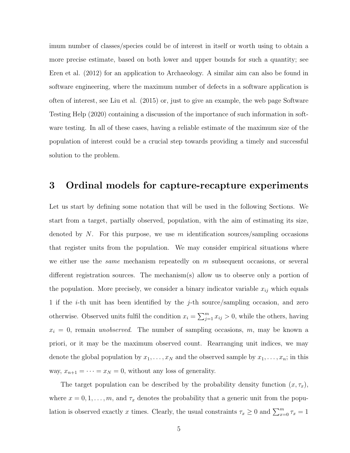imum number of classes/species could be of interest in itself or worth using to obtain a more precise estimate, based on both lower and upper bounds for such a quantity; see Eren et al. (2012) for an application to Archaeology. A similar aim can also be found in software engineering, where the maximum number of defects in a software application is often of interest, see Liu et al. (2015) or, just to give an example, the web page Software Testing Help (2020) containing a discussion of the importance of such information in software testing. In all of these cases, having a reliable estimate of the maximum size of the population of interest could be a crucial step towards providing a timely and successful solution to the problem.

### <span id="page-4-0"></span>3 Ordinal models for capture-recapture experiments

Let us start by defining some notation that will be used in the following Sections. We start from a target, partially observed, population, with the aim of estimating its size, denoted by N. For this purpose, we use m identification sources/sampling occasions that register units from the population. We may consider empirical situations where we either use the *same* mechanism repeatedly on  $m$  subsequent occasions, or several different registration sources. The mechanism(s) allow us to observe only a portion of the population. More precisely, we consider a binary indicator variable  $x_{ij}$  which equals 1 if the i-th unit has been identified by the j-th source/sampling occasion, and zero otherwise. Observed units fulfil the condition  $x_i = \sum_{j=1}^m x_{ij} > 0$ , while the others, having  $x_i = 0$ , remain *unobserved*. The number of sampling occasions, m, may be known a priori, or it may be the maximum observed count. Rearranging unit indices, we may denote the global population by  $x_1, \ldots, x_N$  and the observed sample by  $x_1, \ldots, x_n$ ; in this way,  $x_{n+1} = \cdots = x_N = 0$ , without any loss of generality.

The target population can be described by the probability density function  $(x, \tau_x)$ , where  $x = 0, 1, \ldots, m$ , and  $\tau_x$  denotes the probability that a generic unit from the population is observed exactly x times. Clearly, the usual constraints  $\tau_x \ge 0$  and  $\sum_{x=0}^{m} \tau_x = 1$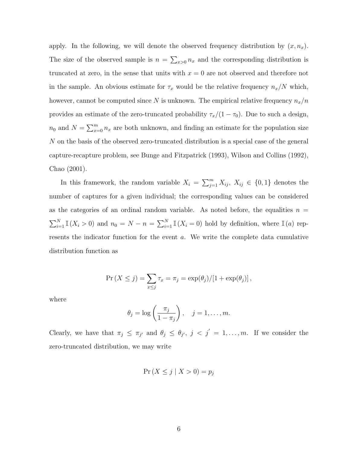apply. In the following, we will denote the observed frequency distribution by  $(x, n_x)$ . The size of the observed sample is  $n = \sum_{x>0} n_x$  and the corresponding distribution is truncated at zero, in the sense that units with  $x = 0$  are not observed and therefore not in the sample. An obvious estimate for  $\tau_x$  would be the relative frequency  $n_x/N$  which, however, cannot be computed since N is unknown. The empirical relative frequency  $n_x/n$ provides an estimate of the zero-truncated probability  $\tau_x/(1 - \tau_0)$ . Due to such a design,  $n_0$  and  $N = \sum_{x=0}^{m} n_x$  are both unknown, and finding an estimate for the population size N on the basis of the observed zero-truncated distribution is a special case of the general capture-recapture problem, see Bunge and Fitzpatrick (1993), Wilson and Collins (1992), Chao (2001).

In this framework, the random variable  $X_i = \sum_{j=1}^m X_{ij}$ ,  $X_{ij} \in \{0,1\}$  denotes the number of captures for a given individual; the corresponding values can be considered as the categories of an ordinal random variable. As noted before, the equalities  $n =$  $\sum_{i=1}^{N} \mathbb{I}(X_i > 0)$  and  $n_0 = N - n = \sum_{i=1}^{N} \mathbb{I}(X_i = 0)$  hold by definition, where  $\mathbb{I}(a)$  represents the indicator function for the event  $a$ . We write the complete data cumulative distribution function as

$$
\Pr(X \leq j) = \sum_{x \leq j} \tau_x = \pi_j = \exp(\theta_j) / [1 + \exp(\theta_j)],
$$

where

$$
\theta_j = \log\left(\frac{\pi_j}{1-\pi_j}\right), \quad j = 1, \ldots, m.
$$

Clearly, we have that  $\pi_j \leq \pi_{j'}$  and  $\theta_j \leq \theta_{j'}$ ,  $j < j' = 1, \ldots, m$ . If we consider the zero-truncated distribution, we may write

$$
\Pr\left(X \le j \mid X > 0\right) = p_j
$$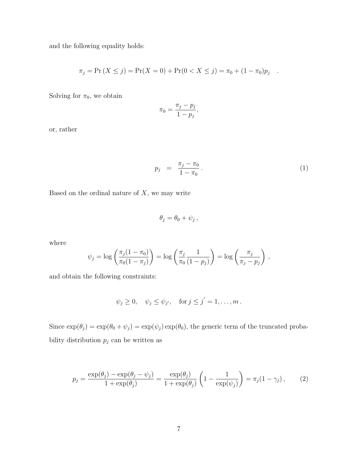and the following equality holds:

$$
\pi_j = \Pr(X \le j) = \Pr(X = 0) + \Pr(0 < X \le j) = \pi_0 + (1 - \pi_0)p_j
$$

Solving for  $\pi_0$ , we obtain

$$
\pi_0 = \frac{\pi_j - p_j}{1 - p_j},
$$

or, rather

<span id="page-6-0"></span>
$$
p_j = \frac{\pi_j - \pi_0}{1 - \pi_0}.
$$
 (1)

.

Based on the ordinal nature of  $X$ , we may write

$$
\theta_j = \theta_0 + \psi_j \,,
$$

where

$$
\psi_j = \log\left(\frac{\pi_j(1-\pi_0)}{\pi_0(1-\pi_j)}\right) = \log\left(\frac{\pi_j}{\pi_0}\frac{1}{(1-p_j)}\right) = \log\left(\frac{\pi_j}{\pi_j-p_j}\right),\,
$$

and obtain the following constraints:

$$
\psi_j \geq 0
$$
,  $\psi_j \leq \psi_{j'}$ , for  $j \leq j' = 1, ..., m$ .

<span id="page-6-1"></span>Since  $\exp(\theta_j) = \exp(\theta_0 + \psi_j) = \exp(\psi_j) \exp(\theta_0)$ , the generic term of the truncated probability distribution  $p_j$  can be written as

$$
p_j = \frac{\exp(\theta_j) - \exp(\theta_j - \psi_j)}{1 + \exp(\theta_j)} = \frac{\exp(\theta_j)}{1 + \exp(\theta_j)} \left(1 - \frac{1}{\exp(\psi_j)}\right) = \pi_j(1 - \gamma_j), \quad (2)
$$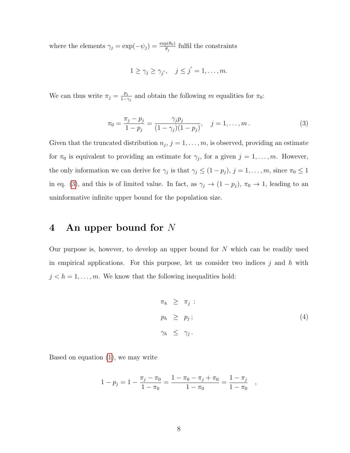where the elements  $\gamma_j = \exp(-\psi_j) = \frac{\exp(\theta_0)}{\theta_j}$  fulfil the constraints

$$
1 \geq \gamma_j \geq \gamma_{j'}, \quad j \leq j' = 1, \dots, m.
$$

<span id="page-7-1"></span>We can thus write  $\pi_j = \frac{p_j}{1 - \epsilon}$  $\frac{p_j}{1-\gamma_j}$  and obtain the following m equalities for  $\pi_0$ :

$$
\pi_0 = \frac{\pi_j - p_j}{1 - p_j} = \frac{\gamma_j p_j}{(1 - \gamma_j)(1 - p_j)}, \quad j = 1, \dots, m. \tag{3}
$$

Given that the truncated distribution  $n_j$ ,  $j = 1, \ldots, m$ , is observed, providing an estimate for  $\pi_0$  is equivalent to providing an estimate for  $\gamma_j$ , for a given  $j = 1, \ldots, m$ . However, the only information we can derive for  $\gamma_j$  is that  $\gamma_j \leq (1-p_j)$ ,  $j=1,\ldots,m$ , since  $\pi_0 \leq 1$ in eq. [\(3\)](#page-7-1), and this is of limited value. In fact, as  $\gamma_j \to (1 - p_j)$ ,  $\pi_0 \to 1$ , leading to an uninformative infinite upper bound for the population size.

### <span id="page-7-0"></span>4 An upper bound for N

Our purpose is, however, to develop an upper bound for  $N$  which can be readily used in empirical applications. For this purpose, let us consider two indices  $j$  and  $h$  with  $j < h = 1, \ldots, m$ . We know that the following inequalities hold:

$$
\pi_h \geq \pi_j : \n p_h \geq p_j ; \n \gamma_h \leq \gamma_j .
$$
\n(4)

Based on equation [\(1\)](#page-6-0), we may write

$$
1 - p_j = 1 - \frac{\pi_j - \pi_0}{1 - \pi_0} = \frac{1 - \pi_0 - \pi_j + \pi_0}{1 - \pi_0} = \frac{1 - \pi_j}{1 - \pi_0} ,
$$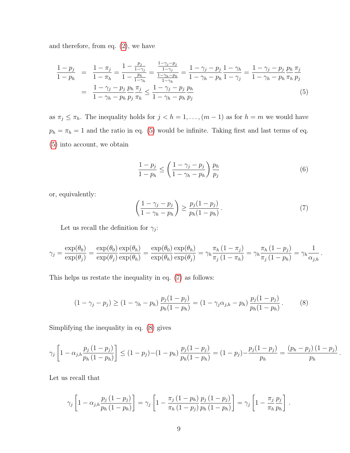and therefore, from eq. [\(2\)](#page-6-1), we have

<span id="page-8-0"></span>
$$
\frac{1 - p_j}{1 - p_h} = \frac{1 - \pi_j}{1 - \pi_h} = \frac{1 - \frac{p_j}{1 - \gamma_j}}{1 - \frac{p_h}{1 - \gamma_h}} = \frac{\frac{1 - \gamma_j - p_j}{1 - \gamma_j}}{\frac{1 - \gamma_h - p_h}{1 - \gamma_h}} = \frac{1 - \gamma_j - p_j}{1 - \gamma_h - p_h} \frac{1 - \gamma_j}{1 - \gamma_j} = \frac{1 - \gamma_j - p_j}{1 - \gamma_h - p_h} \frac{p_h}{\pi_h} \frac{\pi_j}{p_j}
$$
\n
$$
= \frac{1 - \gamma_j - p_j}{1 - \gamma_h - p_h} \frac{p_h}{p_j} \frac{\pi_j}{\pi_h} \le \frac{1 - \gamma_j - p_j}{1 - \gamma_h - p_h} \frac{p_h}{p_j} \tag{5}
$$

as  $\pi_j \leq \pi_h$ . The inequality holds for  $j < h = 1, ..., (m-1)$  as for  $h = m$  we would have  $p_h = \pi_h = 1$  and the ratio in eq. [\(5\)](#page-8-0) would be infinite. Taking first and last terms of eq. [\(5\)](#page-8-0) into account, we obtain

$$
\frac{1-p_j}{1-p_h} \le \left(\frac{1-\gamma_j-p_j}{1-\gamma_h-p_h}\right) \frac{p_h}{p_j} \tag{6}
$$

or, equivalently:

<span id="page-8-1"></span>
$$
\left(\frac{1-\gamma_j-p_j}{1-\gamma_h-p_h}\right) \ge \frac{p_j(1-p_j)}{p_h(1-p_h)}\,. \tag{7}
$$

<span id="page-8-2"></span>.

.

Let us recall the definition for  $\gamma_j$ :

$$
\gamma_j = \frac{\exp(\theta_0)}{\exp(\theta_j)} = \frac{\exp(\theta_0)}{\exp(\theta_j)} \frac{\exp(\theta_h)}{\exp(\theta_h)} = \frac{\exp(\theta_0)}{\exp(\theta_h)} \frac{\exp(\theta_h)}{\exp(\theta_j)} = \gamma_h \frac{\pi_h (1 - \pi_j)}{\pi_j (1 - \pi_h)} = \gamma_h \frac{\pi_h (1 - p_j)}{\pi_j (1 - p_h)} = \gamma_h \frac{1}{\alpha_{j,h}}
$$

This helps us restate the inequality in eq. [\(7\)](#page-8-1) as follows:

$$
(1 - \gamma_j - p_j) \ge (1 - \gamma_h - p_h) \frac{p_j (1 - p_j)}{p_h (1 - p_h)} = (1 - \gamma_j \alpha_{j,h} - p_h) \frac{p_j (1 - p_j)}{p_h (1 - p_h)}.
$$
 (8)

Simplifying the inequality in eq. [\(8\)](#page-8-2) gives

$$
\gamma_j \left[ 1 - \alpha_{j,h} \frac{p_j (1 - p_j)}{p_h (1 - p_h)} \right] \le (1 - p_j) - (1 - p_h) \frac{p_j (1 - p_j)}{p_h (1 - p_h)} = (1 - p_j) - \frac{p_j (1 - p_j)}{p_h} = \frac{(p_h - p_j) (1 - p_j)}{p_h}
$$

Let us recall that

$$
\gamma_j \left[ 1 - \alpha_{j,h} \frac{p_j (1 - p_j)}{p_h (1 - p_h)} \right] = \gamma_j \left[ 1 - \frac{\pi_j (1 - p_h)}{\pi_h (1 - p_j)} \frac{p_j (1 - p_j)}{p_h (1 - p_h)} \right] = \gamma_j \left[ 1 - \frac{\pi_j p_j}{\pi_h p_h} \right].
$$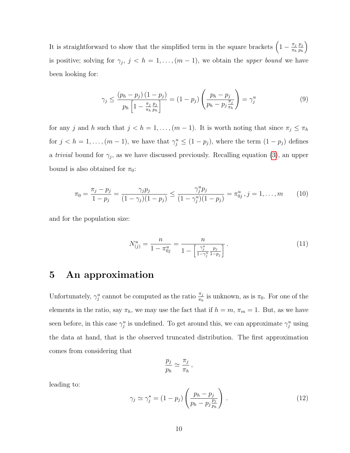It is straightforward to show that the simplified term in the square brackets  $\left(1 - \frac{\pi_j}{\pi} \right)$  $\pi_h$  $p_j$ ph  $\setminus$ is positive; solving for  $\gamma_j$ ,  $j < h = 1, \ldots, (m-1)$ , we obtain the upper bound we have been looking for:

$$
\gamma_j \le \frac{(p_h - p_j)(1 - p_j)}{p_h \left[1 - \frac{\pi_j p_j}{\pi_h p_h}\right]} = (1 - p_j) \left(\frac{p_h - p_j}{p_h - p_j \frac{\pi_j}{\pi_h}}\right) = \gamma_j^u \tag{9}
$$

for any j and h such that  $j < h = 1, ..., (m - 1)$ . It is worth noting that since  $\pi_j \leq \pi_h$ for  $j < h = 1, ..., (m-1)$ , we have that  $\gamma_j^u \leq (1 - p_j)$ , where the term  $(1 - p_j)$  defines a *trivial* bound for  $\gamma_j$ , as we have discussed previously. Recalling equation [\(3\)](#page-7-1), an upper bound is also obtained for  $\pi_0$ :

$$
\pi_0 = \frac{\pi_j - p_j}{1 - p_j} = \frac{\gamma_j p_j}{(1 - \gamma_j)(1 - p_j)} \le \frac{\gamma_j^u p_j}{(1 - \gamma_j^u)(1 - p_j)} = \pi_{0j}^u, j = 1, \dots, m \qquad (10)
$$

and for the population size:

<span id="page-9-1"></span>
$$
N_{(j)}^u = \frac{n}{1 - \pi_{0j}^u} = \frac{n}{1 - \left[\frac{\gamma_j^u}{1 - \gamma_j^u}\frac{p_j}{1 - p_j}\right]}.
$$
\n(11)

### <span id="page-9-0"></span>5 An approximation

Unfortunately,  $\gamma_j^u$  cannot be computed as the ratio  $\frac{\pi_j}{\pi_h}$  is unknown, as is  $\pi_0$ . For one of the elements in the ratio, say  $\pi_h$ , we may use the fact that if  $h = m$ ,  $\pi_m = 1$ . But, as we have seen before, in this case  $\gamma_j^u$  is undefined. To get around this, we can approximate  $\gamma_j^u$  using the data at hand, that is the observed truncated distribution. The first approximation comes from considering that

$$
\frac{p_j}{p_h} \simeq \frac{\pi_j}{\pi_h},
$$

leading to:

$$
\gamma_j \simeq \gamma_j^* = (1 - p_j) \left( \frac{p_h - p_j}{p_h - p_j \frac{p_j}{p_h}} \right). \tag{12}
$$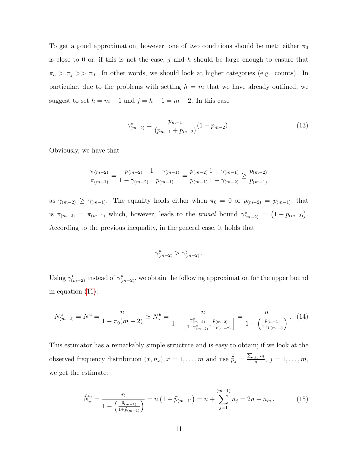To get a good approximation, however, one of two conditions should be met: either  $\pi_0$ is close to 0 or, if this is not the case,  $j$  and  $h$  should be large enough to ensure that  $\pi_h > \pi_j >> \pi_0$ . In other words, we should look at higher categories (e.g. counts). In particular, due to the problems with setting  $h = m$  that we have already outlined, we suggest to set  $h = m - 1$  and  $j = h - 1 = m - 2$ . In this case

$$
\gamma_{(m-2)}^{\star} = \frac{p_{m-1}}{(p_{m-1} + p_{m-2})} (1 - p_{m-2}). \tag{13}
$$

Obviously, we have that

$$
\frac{\pi_{(m-2)}}{\pi_{(m-1)}} = \frac{p_{(m-2)}}{1 - \gamma_{(m-2)}} \frac{1 - \gamma_{(m-1)}}{p_{(m-1)}} = \frac{p_{(m-2)}}{p_{(m-1)}} \frac{1 - \gamma_{(m-1)}}{1 - \gamma_{(m-2)}} \ge \frac{p_{(m-2)}}{p_{(m-1)}}
$$

as  $\gamma_{(m-2)} \geq \gamma_{(m-1)}$ . The equality holds either when  $\pi_0 = 0$  or  $p_{(m-2)} = p_{(m-1)}$ , that is  $\pi_{(m-2)} = \pi_{(m-1)}$  which, however, leads to the *trivial* bound  $\gamma_{(m-2)}^{\star} = (1 - p_{(m-2)})$ . According to the previous inequality, in the general case, it holds that

$$
\gamma_{(m-2)}^u > \gamma_{(m-2)}^*.
$$

Using  $\gamma_{(m-2)}^*$  instead of  $\gamma_{(m-2)}^u$ , we obtain the following approximation for the upper bound in equation [\(11\)](#page-9-1):

$$
N_{(m-2)}^u = N^u = \frac{n}{1 - \pi_0(m-2)} \simeq N_\star^u = \frac{n}{1 - \left[\frac{\gamma_{(m-2)}^{\star}}{1 - \gamma_{(m-2)}^{\star}\frac{p_{(m-2)}}{1 - p_{(m-2)}}\right]} = \frac{n}{1 - \left(\frac{p_{(m-1)}}{1 + p_{(m-1)}}\right)}.
$$
(14)

This estimator has a remarkably simple structure and is easy to obtain; if we look at the observed frequency distribution  $(x, n_x), x = 1, \ldots, m$  and use  $\widehat{p}_j = \frac{\sum_{l \leq j} n_l}{n}$  $\frac{\leq j^{n_i}}{n},\ j=1,\ldots,m,$ we get the estimate:

$$
\widehat{N}_{\star}^{u} = \frac{n}{1 - \left(\frac{\widehat{p}_{(m-1)}}{1 + \widehat{p}_{(m-1)}}\right)} = n\left(1 - \widehat{p}_{(m-1)}\right) = n + \sum_{j=1}^{(m-1)} n_{j} = 2n - n_{m}.
$$
\n(15)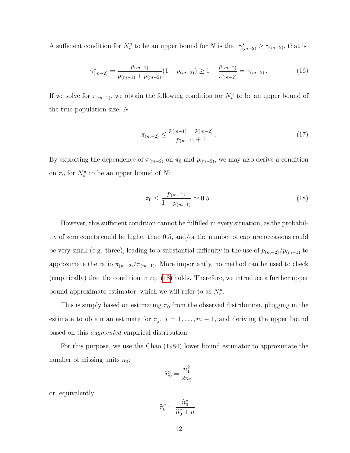A sufficient condition for  $N^u_*$  to be an upper bound for N is that  $\gamma^*_{(m-2)} \geq \gamma_{(m-2)}$ , that is

$$
\gamma_{(m-2)}^{\star} = \frac{p_{(m-1)}}{p_{(m-1)} + p_{(m-2)}} (1 - p_{(m-2)}) \ge 1 - \frac{p_{(m-2)}}{\pi_{(m-2)}} = \gamma_{(m-2)}.
$$
\n(16)

If we solve for  $\pi_{(m-2)}$ , we obtain the following condition for  $N^u_{\star}$  to be an upper bound of the true population size,  $N$ :

$$
\pi_{(m-2)} \le \frac{p_{(m-1)} + p_{(m-2)}}{p_{(m-1)} + 1} \,. \tag{17}
$$

By exploiting the dependence of  $\pi_{(m-2)}$  on  $\pi_0$  and  $p_{(m-2)}$ , we may also derive a condition on  $\pi_0$  for  $N_*^u$  to be an upper bound of N:

<span id="page-11-0"></span>
$$
\pi_0 \le \frac{p_{(m-1)}}{1 + p_{(m-1)}} \simeq 0.5 \,. \tag{18}
$$

However, this sufficient condition cannot be fulfilled in every situation, as the probability of zero counts could be higher than 0.5, and/or the number of capture occasions could be very small (e.g. three), leading to a substantial difficulty in the use of  $p_{(m-2)}/p_{(m-1)}$  to approximate the ratio  $\pi_{(m-2)}/\pi_{(m-1)}$ . More importantly, no method can be used to check (empirically) that the condition in eq. [\(18\)](#page-11-0) holds. Therefore, we introduce a further upper bound approximate estimator, which we will refer to as  $N_c^u$ .

This is simply based on estimating  $\pi_0$  from the observed distribution, plugging in the estimate to obtain an estimate for  $\pi_j$ ,  $j = 1, \ldots, m-1$ , and deriving the upper bound based on this augmented empirical distribution.

For this purpose, we use the Chao (1984) lower bound estimator to approximate the number of missing units  $n_0$ :

$$
\widehat{n}_0^c = \frac{n_1^2}{2n_2}
$$

or, equivalently

$$
\widehat{\pi}_0^c = \frac{\widehat{n}_0^c}{\widehat{n}_0^c + n} \, .
$$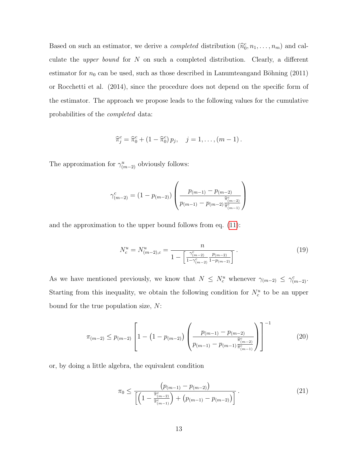Based on such an estimator, we derive a *completed* distribution  $(\hat{n}_0^c, n_1, \ldots, n_m)$  and calculate the upper bound for N on such a completed distribution. Clearly, a different estimator for  $n_0$  can be used, such as those described in Lanumteangand Böhning (2011) or Rocchetti et al. (2014), since the procedure does not depend on the specific form of the estimator. The approach we propose leads to the following values for the cumulative probabilities of the completed data:

$$
\widehat{\pi}_j^c = \widehat{\pi}_0^c + (1 - \widehat{\pi}_0^c) p_j, \quad j = 1, \dots, (m-1).
$$

The approximation for  $\gamma_{(m-2)}^u$  obviously follows:

$$
\gamma_{(m-2)}^c = (1 - p_{(m-2)}) \left( \frac{p_{(m-1)} - p_{(m-2)}}{p_{(m-1)} - p_{(m-2)} \frac{\hat{\pi}_{(m-2)}^c}{\hat{\pi}_{(m-1)}^c}} \right)
$$

and the approximation to the upper bound follows from eq. [\(11\)](#page-9-1):

$$
N_c^u = N_{(m-2),c}^u = \frac{n}{1 - \left[\frac{\gamma_{(m-2)}^c}{1 - \gamma_{(m-2)}^c} \frac{p_{(m-2)}}{1 - p_{(m-2)}}\right]}.
$$
(19)

As we have mentioned previously, we know that  $N \leq N_c^u$  whenever  $\gamma_{(m-2)} \leq \gamma_{(m-2)}^c$ . Starting from this inequality, we obtain the following condition for  $N_c^u$  to be an upper bound for the true population size, N:

$$
\pi_{(m-2)} \le p_{(m-2)} \left[ 1 - \left( 1 - p_{(m-2)} \right) \left( \frac{p_{(m-1)} - p_{(m-2)}}{p_{(m-1)} - p_{(m-1)} \frac{\widehat{\pi}_{(m-2)}^c}{\widehat{\pi}_{(m-1)}^c}} \right) \right]^{-1} \tag{20}
$$

or, by doing a little algebra, the equivalent condition

$$
\pi_0 \le \frac{\left(p_{(m-1)} - p_{(m-2)}\right)}{\left[\left(1 - \frac{\widehat{\pi}_{(m-2)}^c}{\widehat{\pi}_{(m-1)}^c}\right) + \left(p_{(m-1)} - p_{(m-2)}\right)\right]}.
$$
\n(21)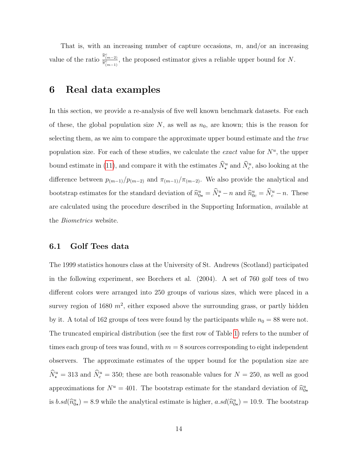That is, with an increasing number of capture occasions,  $m$ , and/or an increasing value of the ratio  $\frac{\hat{\pi}_{(m-2)}^c}{\hat{\pi}_{(m-1)}^c}$ , the proposed estimator gives a reliable upper bound for N.

### <span id="page-13-0"></span>6 Real data examples

In this section, we provide a re-analysis of five well known benchmark datasets. For each of these, the global population size  $N$ , as well as  $n_0$ , are known; this is the reason for selecting them, as we aim to compare the approximate upper bound estimate and the *true* population size. For each of these studies, we calculate the *exact* value for  $N^u$ , the upper bound estimate in [\(11\)](#page-9-1), and compare it with the estimates  $\hat{N}_{\star}^u$  and  $\hat{N}_{c}^u$ , also looking at the difference between  $p_{(m-1)}/p_{(m-2)}$  and  $\pi_{(m-1)}/\pi_{(m-2)}$ . We also provide the analytical and bootstrap estimates for the standard deviation of  $\hat{n}_{0\star}^u = \hat{N}_{\star}^u - n$  and  $\hat{n}_{0c}^u = \hat{N}_{c}^u - n$ . These are calculated using the procedure described in the Supporting Information, available at the Biometrics website.

#### <span id="page-13-1"></span>6.1 Golf Tees data

The 1999 statistics honours class at the University of St. Andrews (Scotland) participated in the following experiment, see Borchers et al. (2004). A set of 760 golf tees of two different colors were arranged into 250 groups of various sizes, which were placed in a survey region of 1680  $m^2$ , either exposed above the surrounding grass, or partly hidden by it. A total of 162 groups of tees were found by the participants while  $n_0 = 88$  were not. The truncated empirical distribution (see the first row of Table [1\)](#page-25-0) refers to the number of times each group of tees was found, with  $m = 8$  sources corresponding to eight independent observers. The approximate estimates of the upper bound for the population size are  $\hat{N}_{\star}^{u} = 313$  and  $\hat{N}_{c}^{u} = 350$ ; these are both reasonable values for  $N = 250$ , as well as good approximations for  $N^u = 401$ . The bootstrap estimate for the standard deviation of  $\hat{n}^u_{0\star}$ is  $b \cdot sd(\hat{n}_{0\star}^u) = 8.9$  while the analytical estimate is higher,  $a \cdot sd(\hat{n}_{0\star}^u) = 10.9$ . The bootstrap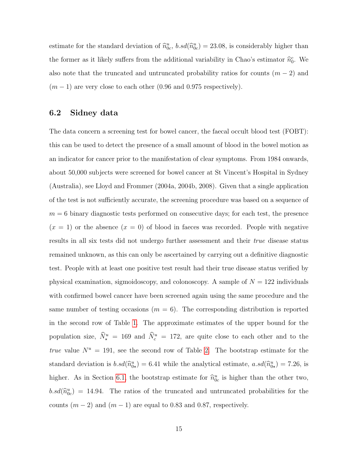estimate for the standard deviation of  $\hat{n}_{0c}^u$ ,  $b \cdot sd(\hat{n}_{0c}^u) = 23.08$ , is considerably higher than the former as it likely suffers from the additional variability in Chao's estimator  $\hat{n}_0^c$ . We also note that the truncated and untruncated probability ratios for counts  $(m-2)$  and  $(m-1)$  are very close to each other (0.96 and 0.975 respectively).

#### 6.2 Sidney data

The data concern a screening test for bowel cancer, the faecal occult blood test (FOBT): this can be used to detect the presence of a small amount of blood in the bowel motion as an indicator for cancer prior to the manifestation of clear symptoms. From 1984 onwards, about 50,000 subjects were screened for bowel cancer at St Vincent's Hospital in Sydney (Australia), see Lloyd and Frommer (2004a, 2004b, 2008). Given that a single application of the test is not sufficiently accurate, the screening procedure was based on a sequence of  $m = 6$  binary diagnostic tests performed on consecutive days; for each test, the presence  $(x = 1)$  or the absence  $(x = 0)$  of blood in faeces was recorded. People with negative results in all six tests did not undergo further assessment and their true disease status remained unknown, as this can only be ascertained by carrying out a definitive diagnostic test. People with at least one positive test result had their true disease status verified by physical examination, sigmoidoscopy, and colonoscopy. A sample of  $N = 122$  individuals with confirmed bowel cancer have been screened again using the same procedure and the same number of testing occasions  $(m = 6)$ . The corresponding distribution is reported in the second row of Table [1.](#page-25-0) The approximate estimates of the upper bound for the population size,  $\hat{N}_{\star}^u = 169$  and  $\hat{N}_{c}^u = 172$ , are quite close to each other and to the true value  $N^u = 191$ , see the second row of Table [2.](#page-25-1) The bootstrap estimate for the standard deviation is  $b.sd(\hat{n}_{0\star}^u) = 6.41$  while the analytical estimate,  $a.sd(\hat{n}_{0\star}^u) = 7.26$ , is higher. As in Section [6.1,](#page-13-1) the bootstrap estimate for  $\hat{n}_{0c}^u$  is higher than the other two,  $b.sd(\hat{n}_{0c}^{u}) = 14.94$ . The ratios of the truncated and untruncated probabilities for the counts  $(m-2)$  and  $(m-1)$  are equal to 0.83 and 0.87, respectively.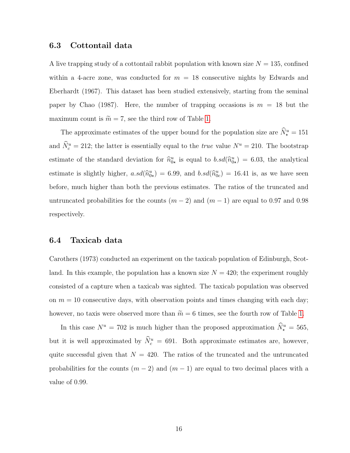#### 6.3 Cottontail data

A live trapping study of a cottontail rabbit population with known size  $N = 135$ , confined within a 4-acre zone, was conducted for  $m = 18$  consecutive nights by Edwards and Eberhardt (1967). This dataset has been studied extensively, starting from the seminal paper by Chao (1987). Here, the number of trapping occasions is  $m = 18$  but the maximum count is  $\widetilde{m} = 7$ , see the third row of Table [1.](#page-25-0)

The approximate estimates of the upper bound for the population size are  $\hat{N}_{\star}^{u} = 151$ and  $\hat{N}_c^u = 212$ ; the latter is essentially equal to the *true* value  $N^u = 210$ . The bootstrap estimate of the standard deviation for  $\hat{n}_{0\star}^u$  is equal to  $b.sd(\hat{n}_{0\star}^u) = 6.03$ , the analytical estimate is slightly higher,  $a.sd(\hat{n}_{0\star}^u) = 6.99$ , and  $b.sd(\hat{n}_{0c}^u) = 16.41$  is, as we have seen before, much higher than both the previous estimates. The ratios of the truncated and untruncated probabilities for the counts  $(m-2)$  and  $(m-1)$  are equal to 0.97 and 0.98 respectively.

#### 6.4 Taxicab data

Carothers (1973) conducted an experiment on the taxicab population of Edinburgh, Scotland. In this example, the population has a known size  $N = 420$ ; the experiment roughly consisted of a capture when a taxicab was sighted. The taxicab population was observed on  $m = 10$  consecutive days, with observation points and times changing with each day; however, no taxis were observed more than  $\tilde{m} = 6$  times, see the fourth row of Table [1.](#page-25-0)

In this case  $N^u = 702$  is much higher than the proposed approximation  $\hat{N}^u_{\star} = 565$ , but it is well approximated by  $\hat{N}_c^u = 691$ . Both approximate estimates are, however, quite successful given that  $N = 420$ . The ratios of the truncated and the untruncated probabilities for the counts  $(m-2)$  and  $(m-1)$  are equal to two decimal places with a value of 0.99.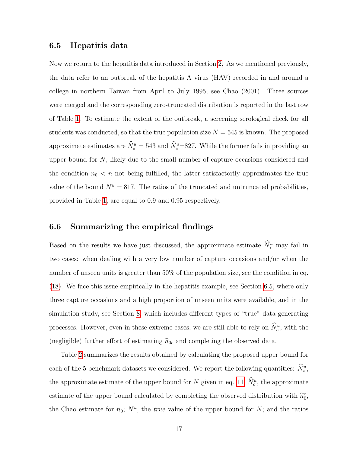#### <span id="page-16-0"></span>6.5 Hepatitis data

Now we return to the hepatitis data introduced in Section [2.](#page-3-0) As we mentioned previously, the data refer to an outbreak of the hepatitis A virus (HAV) recorded in and around a college in northern Taiwan from April to July 1995, see Chao (2001). Three sources were merged and the corresponding zero-truncated distribution is reported in the last row of Table [1.](#page-25-0) To estimate the extent of the outbreak, a screening serological check for all students was conducted, so that the true population size  $N = 545$  is known. The proposed approximate estimates are  $\hat{N}_{\star}^{u} = 543$  and  $\hat{N}_{c}^{u} = 827$ . While the former fails in providing an upper bound for N, likely due to the small number of capture occasions considered and the condition  $n_0 < n$  not being fulfilled, the latter satisfactorily approximates the true value of the bound  $N^u = 817$ . The ratios of the truncated and untruncated probabilities, provided in Table [1,](#page-25-0) are equal to 0.9 and 0.95 respectively.

#### 6.6 Summarizing the empirical findings

Based on the results we have just discussed, the approximate estimate  $\hat{N}_{\star}^u$  may fail in two cases: when dealing with a very low number of capture occasions and/or when the number of unseen units is greater than 50% of the population size, see the condition in eq. [\(18\)](#page-11-0). We face this issue empirically in the hepatitis example, see Section [6.5,](#page-16-0) where only three capture occasions and a high proportion of unseen units were available, and in the simulation study, see Section [8,](#page-18-0) which includes different types of "true" data generating processes. However, even in these extreme cases, we are still able to rely on  $\tilde{N}_c^u$ , with the (negligible) further effort of estimating  $\hat{n}_{0c}$  and completing the observed data.

Table [2](#page-25-1) summarizes the results obtained by calculating the proposed upper bound for each of the 5 benchmark datasets we considered. We report the following quantities:  $\hat{N}_{\star}^u$ , the approximate estimate of the upper bound for N given in eq. [11;](#page-9-1)  $\hat{N}_c^u$ , the approximate estimate of the upper bound calculated by completing the observed distribution with  $\hat{n}_0^c$ , the Chao estimate for  $n_0$ ;  $N^u$ , the *true* value of the upper bound for N; and the ratios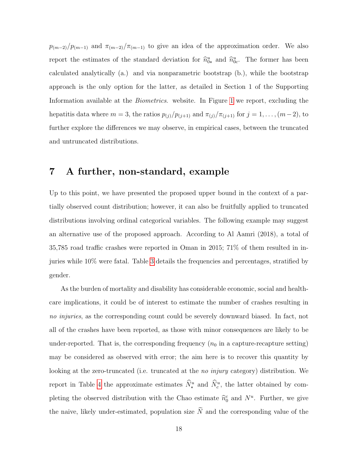$p_{(m-2)}/p_{(m-1)}$  and  $\pi_{(m-2)}/\pi_{(m-1)}$  to give an idea of the approximation order. We also report the estimates of the standard deviation for  $\hat{n}_{0\star}^u$  and  $\hat{n}_{0c}^u$ . The former has been calculated analytically (a.) and via nonparametric bootstrap (b.), while the bootstrap approach is the only option for the latter, as detailed in Section 1 of the Supporting Information available at the Biometrics. website. In Figure [1](#page-26-0) we report, excluding the hepatitis data where  $m = 3$ , the ratios  $p_{(j)}/p_{(j+1)}$  and  $\pi_{(j)}/\pi_{(j+1)}$  for  $j = 1, ..., (m-2)$ , to further explore the differences we may observe, in empirical cases, between the truncated and untruncated distributions.

### <span id="page-17-0"></span>7 A further, non-standard, example

Up to this point, we have presented the proposed upper bound in the context of a partially observed count distribution; however, it can also be fruitfully applied to truncated distributions involving ordinal categorical variables. The following example may suggest an alternative use of the proposed approach. According to Al Aamri (2018), a total of 35,785 road traffic crashes were reported in Oman in 2015; 71% of them resulted in injuries while 10% were fatal. Table [3](#page-25-2) details the frequencies and percentages, stratified by gender.

As the burden of mortality and disability has considerable economic, social and healthcare implications, it could be of interest to estimate the number of crashes resulting in no *injuries*, as the corresponding count could be severely downward biased. In fact, not all of the crashes have been reported, as those with minor consequences are likely to be under-reported. That is, the corresponding frequency  $(n_0$  in a capture-recapture setting) may be considered as observed with error; the aim here is to recover this quantity by looking at the zero-truncated (i.e. truncated at the *no injury* category) distribution. We report in Table [4](#page-25-3) the approximate estimates  $\hat{N}_{\star}^{u}$  and  $\hat{N}_{c}^{u}$ , the latter obtained by completing the observed distribution with the Chao estimate  $\hat{n}_0^c$  and  $N^u$ . Further, we give the naive, likely under-estimated, population size  $\widetilde{N}$  and the corresponding value of the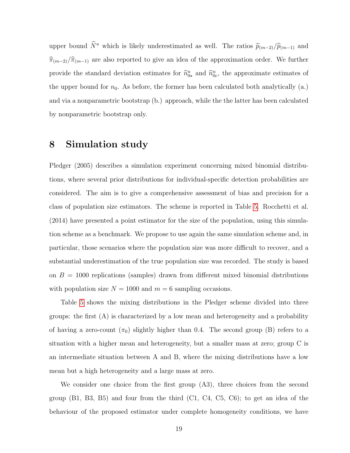upper bound  $\widetilde{N}^u$  which is likely underestimated as well. The ratios  $\widehat{p}_{(m-2)}/\widehat{p}_{(m-1)}$  and  $\hat{\pi}_{(m-2)}/\hat{\pi}_{(m-1)}$  are also reported to give an idea of the approximation order. We further provide the standard deviation estimates for  $\hat{n}_{0\star}^u$  and  $\hat{n}_{0c}^u$ , the approximate estimates of the upper bound for  $n_0$ . As before, the former has been calculated both analytically (a.) and via a nonparametric bootstrap (b.) approach, while the the latter has been calculated by nonparametric bootstrap only.

### <span id="page-18-0"></span>8 Simulation study

Pledger (2005) describes a simulation experiment concerning mixed binomial distributions, where several prior distributions for individual-specific detection probabilities are considered. The aim is to give a comprehensive assessment of bias and precision for a class of population size estimators. The scheme is reported in Table [5.](#page-27-0) Rocchetti et al. (2014) have presented a point estimator for the size of the population, using this simulation scheme as a benchmark. We propose to use again the same simulation scheme and, in particular, those scenarios where the population size was more difficult to recover, and a substantial underestimation of the true population size was recorded. The study is based on  $B = 1000$  replications (samples) drawn from different mixed binomial distributions with population size  $N = 1000$  and  $m = 6$  sampling occasions.

Table [5](#page-27-0) shows the mixing distributions in the Pledger scheme divided into three groups: the first (A) is characterized by a low mean and heterogeneity and a probability of having a zero-count  $(\pi_0)$  slightly higher than 0.4. The second group (B) refers to a situation with a higher mean and heterogeneity, but a smaller mass at zero; group C is an intermediate situation between A and B, where the mixing distributions have a low mean but a high heterogeneity and a large mass at zero.

We consider one choice from the first group (A3), three choices from the second group  $(B1, B3, B5)$  and four from the third  $(C1, C4, C5, C6)$ ; to get an idea of the behaviour of the proposed estimator under complete homogeneity conditions, we have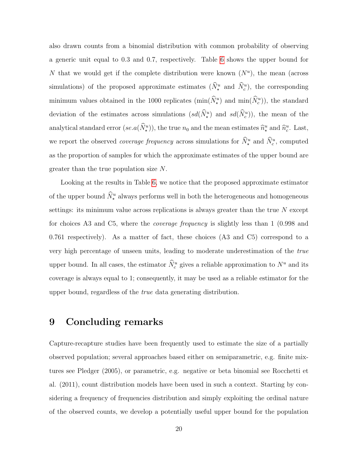also drawn counts from a binomial distribution with common probability of observing a generic unit equal to 0.3 and 0.7, respectively. Table [6](#page-28-0) shows the upper bound for N that we would get if the complete distribution were known  $(N^u)$ , the mean (across simulations) of the proposed approximate estimates  $(\hat{N}_{\star}^u$  and  $\hat{N}_{c}^u$ ), the corresponding minimum values obtained in the 1000 replicates  $(\min(\tilde{N}_{\star}^{u})$  and  $\min(\tilde{N}_{c}^{u}))$ , the standard deviation of the estimates across simulations  $(s d(\hat{N}_{\star}^u))$  and  $sd(\hat{N}_{c}^u)$ , the mean of the analytical standard error  $(se.a(\tilde{N}_{\star}^u))$ , the true  $n_0$  and the mean estimates  $\hat{n}_{\star}^u$  and  $\hat{n}_c^u$ . Last, we report the observed *coverage frequency* across simulations for  $\hat{N}_{\star}^{u}$  and  $\hat{N}_{c}^{u}$ , computed as the proportion of samples for which the approximate estimates of the upper bound are greater than the true population size N.

Looking at the results in Table [6,](#page-28-0) we notice that the proposed approximate estimator of the upper bound  $\hat{N}_{\star}^u$  always performs well in both the heterogeneous and homogeneous settings: its minimum value across replications is always greater than the true  $N$  except for choices A3 and C5, where the coverage frequency is slightly less than 1 (0.998 and 0.761 respectively). As a matter of fact, these choices (A3 and C5) correspond to a very high percentage of unseen units, leading to moderate underestimation of the true upper bound. In all cases, the estimator  $\hat{N}_c^u$  gives a reliable approximation to  $N^u$  and its coverage is always equal to 1; consequently, it may be used as a reliable estimator for the upper bound, regardless of the true data generating distribution.

### <span id="page-19-0"></span>9 Concluding remarks

Capture-recapture studies have been frequently used to estimate the size of a partially observed population; several approaches based either on semiparametric, e.g. finite mixtures see Pledger (2005), or parametric, e.g. negative or beta binomial see Rocchetti et al. (2011), count distribution models have been used in such a context. Starting by considering a frequency of frequencies distribution and simply exploiting the ordinal nature of the observed counts, we develop a potentially useful upper bound for the population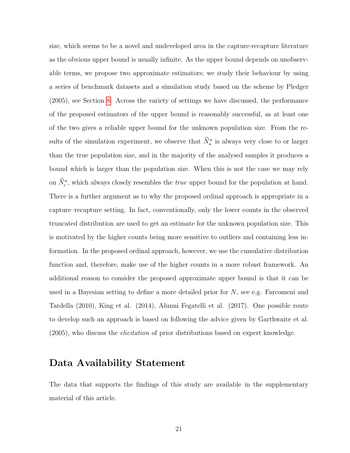size, which seems to be a novel and undeveloped area in the capture-recapture literature as the obvious upper bound is usually infinite. As the upper bound depends on unobservable terms, we propose two approximate estimators; we study their behaviour by using a series of benchmark datasets and a simulation study based on the scheme by Pledger (2005), see Section [8.](#page-18-0) Across the variety of settings we have discussed, the performance of the proposed estimators of the upper bound is reasonably successful, as at least one of the two gives a reliable upper bound for the unknown population size. From the results of the simulation experiment, we observe that  $\hat{N}_{\star}^{u}$  is always very close to or larger than the true population size, and in the majority of the analysed samples it produces a bound which is larger than the population size. When this is not the case we may rely on  $\hat{N}_c^u$ , which always closely resembles the *true* upper bound for the population at hand. There is a further argument as to why the proposed ordinal approach is appropriate in a capture–recapture setting. In fact, conventionally, only the lower counts in the observed truncated distribution are used to get an estimate for the unknown population size. This is motivated by the higher counts being more sensitive to outliers and containing less information. In the proposed ordinal approach, however, we use the cumulative distribution function and, therefore, make use of the higher counts in a more robust framework. An additional reason to consider the proposed approximate upper bound is that it can be used in a Bayesian setting to define a more detailed prior for  $N$ , see e.g. Farcomeni and Tardella (2010), King et al. (2014), Alunni Fegatelli et al. (2017). One possible route to develop such an approach is based on following the advice given by Garthwaite et al. (2005), who discuss the elicitation of prior distributions based on expert knowledge.

### Data Availability Statement

The data that supports the findings of this study are available in the supplementary material of this article.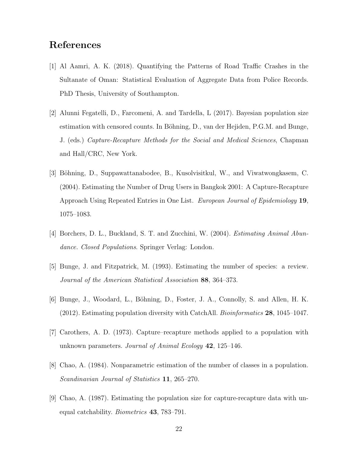### References

- [1] Al Aamri, A. K. (2018). Quantifying the Patterns of Road Traffic Crashes in the Sultanate of Oman: Statistical Evaluation of Aggregate Data from Police Records. PhD Thesis, University of Southampton.
- [2] Alunni Fegatelli, D., Farcomeni, A. and Tardella, L (2017). Bayesian population size estimation with censored counts. In Böhning, D., van der Hejiden, P.G.M. and Bunge, J. (eds.) Capture-Recapture Methods for the Social and Medical Sciences, Chapman and Hall/CRC, New York.
- [3] Böhning, D., Suppawattanabodee, B., Kusolvisitkul, W., and Viwatwongkasem, C. (2004). Estimating the Number of Drug Users in Bangkok 2001: A Capture-Recapture Approach Using Repeated Entries in One List. European Journal of Epidemiology 19, 1075–1083.
- [4] Borchers, D. L., Buckland, S. T. and Zucchini, W. (2004). *Estimating Animal Abun*dance. Closed Populations. Springer Verlag: London.
- [5] Bunge, J. and Fitzpatrick, M. (1993). Estimating the number of species: a review. Journal of the American Statistical Association 88, 364–373.
- [6] Bunge, J., Woodard, L., Böhning, D., Foster, J. A., Connolly, S. and Allen, H. K. (2012). Estimating population diversity with CatchAll. Bioinformatics 28, 1045–1047.
- [7] Carothers, A. D. (1973). Capture–recapture methods applied to a population with unknown parameters. Journal of Animal Ecology 42, 125–146.
- [8] Chao, A. (1984). Nonparametric estimation of the number of classes in a population. Scandinavian Journal of Statistics 11, 265–270.
- [9] Chao, A. (1987). Estimating the population size for capture-recapture data with unequal catchability. Biometrics 43, 783–791.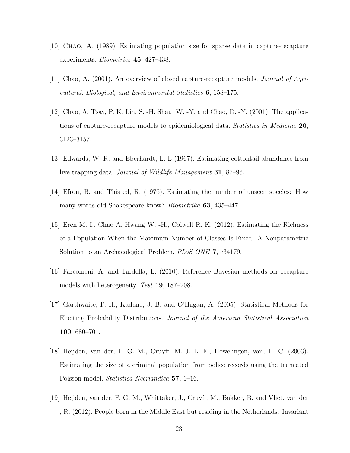- [10] Chao, A. (1989). Estimating population size for sparse data in capture-recapture experiments. Biometrics 45, 427–438.
- [11] Chao, A. (2001). An overview of closed capture-recapture models. Journal of Agricultural, Biological, and Environmental Statistics 6, 158–175.
- [12] Chao, A. Tsay, P. K. Lin, S. -H. Shau, W. -Y. and Chao, D. -Y. (2001). The applications of capture-recapture models to epidemiological data. Statistics in Medicine 20, 3123–3157.
- [13] Edwards, W. R. and Eberhardt, L. L (1967). Estimating cottontail abundance from live trapping data. *Journal of Wildlife Management* **31**, 87–96.
- [14] Efron, B. and Thisted, R. (1976). Estimating the number of unseen species: How many words did Shakespeare know? Biometrika 63, 435–447.
- [15] Eren M. I., Chao A, Hwang W. -H., Colwell R. K. (2012). Estimating the Richness of a Population When the Maximum Number of Classes Is Fixed: A Nonparametric Solution to an Archaeological Problem. *PLoS ONE* 7, e34179.
- [16] Farcomeni, A. and Tardella, L. (2010). Reference Bayesian methods for recapture models with heterogeneity. Test **19**, 187–208.
- [17] Garthwaite, P. H., Kadane, J. B. and O'Hagan, A. (2005). Statistical Methods for Eliciting Probability Distributions. Journal of the American Statistical Association 100, 680–701.
- [18] Heijden, van der, P. G. M., Cruyff, M. J. L. F., Howelingen, van, H. C. (2003). Estimating the size of a criminal population from police records using the truncated Poisson model. *Statistica Neerlandica* 57, 1–16.
- [19] Heijden, van der, P. G. M., Whittaker, J., Cruyff, M., Bakker, B. and Vliet, van der , R. (2012). People born in the Middle East but residing in the Netherlands: Invariant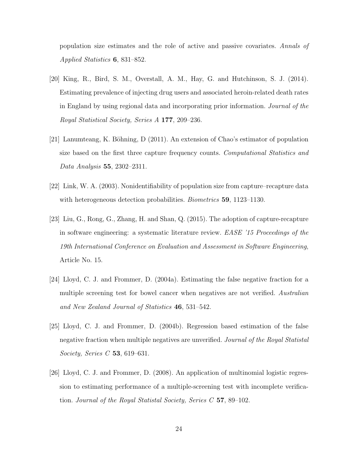population size estimates and the role of active and passive covariates. Annals of Applied Statistics 6, 831–852.

- [20] King, R., Bird, S. M., Overstall, A. M., Hay, G. and Hutchinson, S. J. (2014). Estimating prevalence of injecting drug users and associated heroin-related death rates in England by using regional data and incorporating prior information. Journal of the Royal Statistical Society, Series A 177, 209–236.
- [21] Lanumteang, K. Böhning, D (2011). An extension of Chao's estimator of population size based on the first three capture frequency counts. Computational Statistics and Data Analysis 55, 2302–2311.
- [22] Link, W. A. (2003). Nonidentifiability of population size from capture–recapture data with heterogeneous detection probabilities. *Biometrics* **59**, 1123–1130.
- [23] Liu, G., Rong, G., Zhang, H. and Shan, Q. (2015). The adoption of capture-recapture in software engineering: a systematic literature review. EASE '15 Proceedings of the 19th International Conference on Evaluation and Assessment in Software Engineering, Article No. 15.
- [24] Lloyd, C. J. and Frommer, D. (2004a). Estimating the false negative fraction for a multiple screening test for bowel cancer when negatives are not verified. Australian and New Zealand Journal of Statistics 46, 531–542.
- [25] Lloyd, C. J. and Frommer, D. (2004b). Regression based estimation of the false negative fraction when multiple negatives are unverified. Journal of the Royal Statistal Society, Series C 53, 619–631.
- [26] Lloyd, C. J. and Frommer, D. (2008). An application of multinomial logistic regression to estimating performance of a multiple-screening test with incomplete verification. Journal of the Royal Statistal Society, Series  $C$  57, 89–102.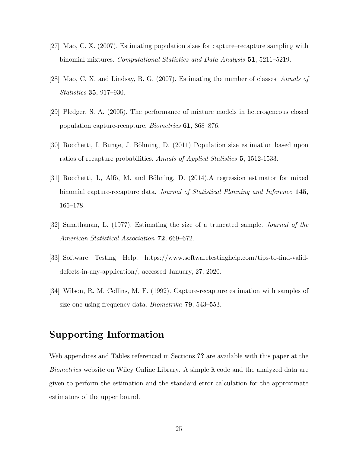- [27] Mao, C. X. (2007). Estimating population sizes for capture–recapture sampling with binomial mixtures. Computational Statistics and Data Analysis 51, 5211–5219.
- [28] Mao, C. X. and Lindsay, B. G. (2007). Estimating the number of classes. Annals of Statistics 35, 917–930.
- [29] Pledger, S. A. (2005). The performance of mixture models in heterogeneous closed population capture-recapture. Biometrics 61, 868–876.
- [30] Rocchetti, I. Bunge, J. Böhning, D. (2011) Population size estimation based upon ratios of recapture probabilities. Annals of Applied Statistics 5, 1512-1533.
- [31] Rocchetti, I., Alfò, M. and Böhning, D. (2014). A regression estimator for mixed binomial capture-recapture data. Journal of Statistical Planning and Inference 145, 165–178.
- [32] Sanathanan, L. (1977). Estimating the size of a truncated sample. Journal of the American Statistical Association **72**, 669–672.
- [33] Software Testing Help. https://www.softwaretestinghelp.com/tips-to-find-validdefects-in-any-application/, accessed January, 27, 2020.
- [34] Wilson, R. M. Collins, M. F. (1992). Capture-recapture estimation with samples of size one using frequency data. *Biometrika* **79**, 543–553.

### Supporting Information

Web appendices and Tables referenced in Sections ?? are available with this paper at the Biometrics website on Wiley Online Library. A simple R code and the analyzed data are given to perform the estimation and the standard error calculation for the approximate estimators of the upper bound.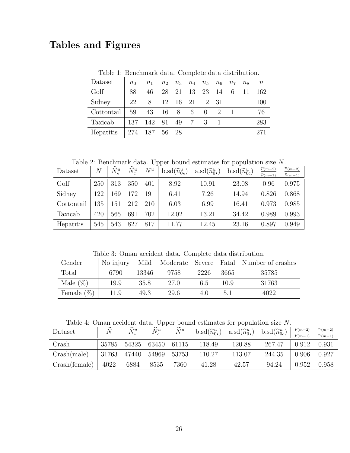## <span id="page-25-0"></span>Tables and Figures

Table 1: Benchmark data. Complete data distribution.

| Dataset    | $n_0$ | n <sub>1</sub> | n <sub>2</sub> | $n_{3}$ | $n_4$ | $n_{5}$  | $n_6$       | $n_7$ | $n_{8}$ | $\, n$ |
|------------|-------|----------------|----------------|---------|-------|----------|-------------|-------|---------|--------|
| Golf       | 88    | 46             | 28             | 21      | 13    | 23       | 14          | 6     | 11      | 162    |
| Sidney     | 22    | 8              | 12             | -16     | - 21  | 12       | - 31        |       |         | 100    |
| Cottontail | 59    | 43             | -16            | 8       | 6     | $\theta$ | $2^{\circ}$ |       |         | 76     |
| Taxicab    | 137   | 142            | 81             | 49      |       |          |             |       |         | 283    |
| Hepatitis  |       | 187            | 56             | 28      |       |          |             |       |         | 271    |

Table 2: Benchmark data. Upper bound estimates for population size N.

<span id="page-25-1"></span>

| Dataset    | $\overline{N}$ | $\widehat{N}^u_\pm$ | $\widehat{N}_{c}^{u}$ | $N^u$ | $b.\mathrm{sd}(\widehat{n}_{0\star}^u)$ | $\operatorname{a.sd}(\widehat{n}_{0\star}^u)$ | $b.\mathrm{sd}(\hat{n}_{0c}^u)$ | $p_{(m-2)}$<br>$p_{(m-1)}$ | $\pi_{(m-2)}$<br>$\pi_{(m-1)}$ |
|------------|----------------|---------------------|-----------------------|-------|-----------------------------------------|-----------------------------------------------|---------------------------------|----------------------------|--------------------------------|
| Golf       | 250            | 313                 | 350                   | 401   | 8.92                                    | 10.91                                         | 23.08                           | 0.96                       | 0.975                          |
| Sidney     | 122            | -69                 | 172                   | 191   | 6.41                                    | 7.26                                          | 14.94                           | 0.826                      | 0.868                          |
| Cottontail | 135            | -51                 | 212                   | 210   | 6.03                                    | 6.99                                          | 16.41                           | 0.973                      | 0.985                          |
| Taxicab    | 420            | 565                 | 691                   | 702   | 12.02                                   | 13.21                                         | 34.42                           | 0.989                      | 0.993                          |
| Hepatitis  | 545            | 543                 | 827                   | 817   | 11.77                                   | 12.45                                         | 23.16                           | 0.897                      | 0.949                          |

Table 3: Oman accident data. Complete data distribution.

<span id="page-25-2"></span>

| Gender        | No injury |       |       |      |      | Mild Moderate Severe Fatal Number of crashes |
|---------------|-----------|-------|-------|------|------|----------------------------------------------|
| Total         | 6790      | 13346 | 9758  | 2226 | 3665 | 35785                                        |
| Male $(\%)$   | 19.9      | 35.8  | -27.0 | 6.5  | 10.9 | 31763                                        |
| Female $(\%)$ | 11.9      | 49.3  | 29.6  | 40   | 5.1  | 4022                                         |

Table 4: Oman accident data. Upper bound estimates for population size N.

<span id="page-25-3"></span>

| Dataset       | $\widetilde{\phantom{m}}$ | $N^u$ | $N^u$ | $\widetilde{\phantom{m}}$<br>$N^u$ | $b \cdot sd(\widehat{n}_{0\star}^u)$ | $\text{a.sd}(\widehat{n}_{0\star}^u)$ | b.sd $(\widehat{n}_{0c}^u)$ | $p_{(m-2)}$<br>$p_{(m-1)}$ | $\pi_{(m-2)}$<br>$\pi_{(m-1)}$ |
|---------------|---------------------------|-------|-------|------------------------------------|--------------------------------------|---------------------------------------|-----------------------------|----------------------------|--------------------------------|
| Crash         | 35785                     | 54325 | 63450 | 61115                              | 118.49                               | 120.88                                | 267.47                      | 0.912                      | 0.931                          |
| Crash(male)   | 31763                     | 47440 | 54969 | 53753                              | 110.27                               | 113.07                                | 244.35                      | 0.906                      | 0.927                          |
| Crash(female) | 4022                      | 6884  | 8535  | 7360                               | 41.28                                | 42.57                                 | 94.24                       | 0.952                      | 0.958                          |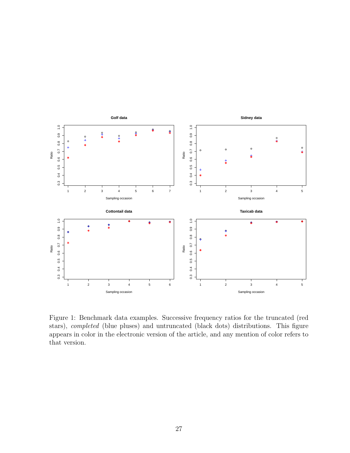

<span id="page-26-0"></span>Figure 1: Benchmark data examples. Successive frequency ratios for the truncated (red stars), completed (blue pluses) and untruncated (black dots) distributions. This figure appears in color in the electronic version of the article, and any mention of color refers to that version.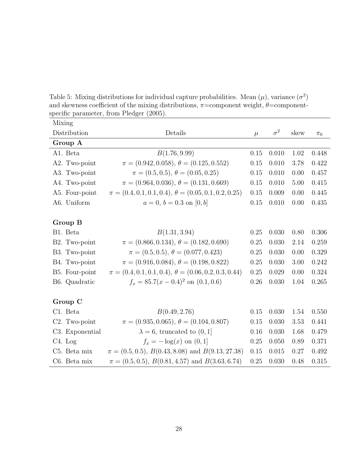<span id="page-27-0"></span>Table 5: Mixing distributions for individual capture probabilities. Mean  $(\mu)$ , variance  $(\sigma^2)$ and skewness coefficient of the mixing distributions,  $\pi$ =component weight,  $\theta$ =componentspecific parameter, from Pledger (2005).

| Mixing                     |                                                               |       |            |      |         |
|----------------------------|---------------------------------------------------------------|-------|------------|------|---------|
| Distribution               | Details                                                       | $\mu$ | $\sigma^2$ | skew | $\pi_0$ |
| Group A                    |                                                               |       |            |      |         |
| A1. Beta                   | B(1.76, 9.99)                                                 | 0.15  | 0.010      | 1.02 | 0.448   |
| A2. Two-point              | $\pi = (0.942, 0.058), \theta = (0.125, 0.552)$               | 0.15  | 0.010      | 3.78 | 0.422   |
| A3. Two-point              | $\pi = (0.5, 0.5), \theta = (0.05, 0.25)$                     | 0.15  | 0.010      | 0.00 | 0.457   |
| A4. Two-point              | $\pi = (0.964, 0.036), \theta = (0.131, 0.669)$               | 0.15  | 0.010      | 5.00 | 0.415   |
| A5. Four-point             | $\pi = (0.4, 0.1, 0.1, 0.4), \theta = (0.05, 0.1, 0.2, 0.25)$ | 0.15  | 0.009      | 0.00 | 0.445   |
| A6. Uniform                | $a = 0, b = 0.3$ on [0, b]                                    | 0.15  | 0.010      | 0.00 | 0.435   |
|                            |                                                               |       |            |      |         |
| Group B                    |                                                               |       |            |      |         |
| B1. Beta                   | B(1.31, 3.94)                                                 | 0.25  | 0.030      | 0.80 | 0.306   |
| B2. Two-point              | $\pi = (0.866, 0.134), \theta = (0.182, 0.690)$               | 0.25  | 0.030      | 2.14 | 0.259   |
| B3. Two-point              | $\pi = (0.5, 0.5), \theta = (0.077, 0.423)$                   | 0.25  | 0.030      | 0.00 | 0.329   |
| B4. Two-point              | $\pi = (0.916, 0.084), \theta = (0.198, 0.822)$               | 0.25  | 0.030      | 3.00 | 0.242   |
| B5. Four-point             | $\pi = (0.4, 0.1, 0.1, 0.4), \theta = (0.06, 0.2, 0.3, 0.44)$ | 0.25  | 0.029      | 0.00 | 0.324   |
| B6. Quadratic              | $f_x = 85.7(x - 0.4)^2$ on $(0.1, 0.6)$                       | 0.26  | 0.030      | 1.04 | 0.265   |
|                            |                                                               |       |            |      |         |
| Group C                    |                                                               |       |            |      |         |
| C1. Beta                   | B(0.49, 2.76)                                                 | 0.15  | 0.030      | 1.54 | 0.550   |
| C <sub>2</sub> . Two-point | $\pi = (0.935, 0.065), \theta = (0.104, 0.807)$               | 0.15  | 0.030      | 3.53 | 0.441   |
| C3. Exponential            | $\lambda = 6$ , truncated to $(0, 1]$                         | 0.16  | 0.030      | 1.68 | 0.479   |
| C <sub>4</sub> . Log       | $f_x = -\log(x)$ on $(0, 1]$                                  | 0.25  | 0.050      | 0.89 | 0.371   |
| C5. Beta mix               | $\pi = (0.5, 0.5), B(0.43, 8.08)$ and $B(9.13, 27.38)$        | 0.15  | 0.015      | 0.27 | 0.492   |
| C6. Beta mix               | $\pi = (0.5, 0.5), B(0.81, 4.57)$ and $B(3.63, 6.74)$         | 0.25  | 0.030      | 0.48 | 0.315   |
|                            |                                                               |       |            |      |         |